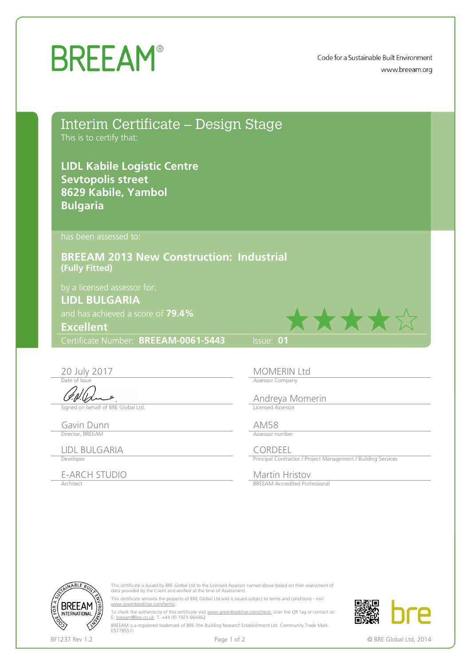## **BREEAM®**

Code for a Sustainable Built Environment www.breeam.org

Interim Certificate – Design Stage This is to certify that:

**LIDL Kabile Logistic Centre Sevtopolis street 8629 Kabile, Yambol Bulgaria** 

has been assessed to:

**BREEAM 2013 New Construction: Industrial (Fully Fitted)**

## **LIDL BULGARIA**

and has achieved a score of **79.4%** 

**Excellent**

Certificate Number: **BREEAM-0061-5443** Issue: **01**

Signed on behalf of BRE Global Ltd. **Example 2018** Licensed Assessor

Gavin Dunn AM58 Director, BREEAM

LIDL BULGARIA CORDEEL

E-ARCH STUDIO Martin Hristov

20 July 2017 MOMERIN Ltd Assessor Company

Andreya Momerin

Developer **Principal Contractor / Project Management / Building Services** 

\*\*\*\*\*

**BREEAM Accredited Professional** 



This certificate is issued by BRE Global Ltd to the Licensed Assessor named above based on their assessment of data provided by the Client and verified at the time of Assessment.

This certificate remains the property of BRE Global Ltd and is issued subject to terms and conditions - visit [www.greenbooklive.com/terms](http://www.greenbooklive.com/terms).

To check the authenticity of this certificate visit [www.greenbooklive.com/check](http://www.greenbooklive.com/check), scan the QR Tag or contact us: E: [breeam@bre.co.uk](mailto:breeam@bre.co.uk) T. +44 (0) 1923 664462

BREEAM is a registered trademark of BRE (the Building Research Establishment Ltd. Community Trade Mark E5778551)